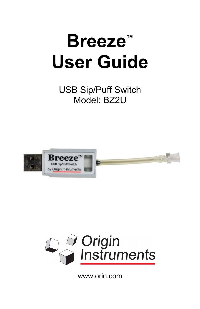# **Breeze™ User Guide**

USB Sip/Puff Switch Model: BZ2U





www.orin.com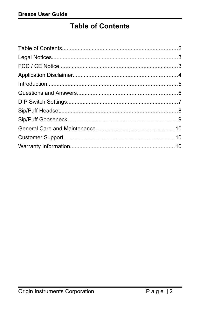## <span id="page-1-0"></span>**Table of Contents**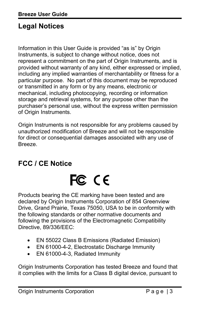## <span id="page-2-1"></span>**Legal Notices**

Information in this User Guide is provided "as is" by Origin Instruments, is subject to change without notice, does not represent a commitment on the part of Origin Instruments, and is provided without warranty of any kind, either expressed or implied, including any implied warranties of merchantability or fitness for a particular purpose. No part of this document may be reproduced or transmitted in any form or by any means, electronic or mechanical, including photocopying, recording or information storage and retrieval systems, for any purpose other than the purchaser's personal use, without the express written permission of Origin Instruments.

Origin Instruments is not responsible for any problems caused by unauthorized modification of Breeze and will not be responsible for direct or consequential damages associated with any use of Breeze.

## <span id="page-2-0"></span>**FCC / CE Notice**

## FC CE

Products bearing the CE marking have been tested and are declared by Origin Instruments Corporation of 854 Greenview Drive, Grand Prairie, Texas 75050, USA to be in conformity with the following standards or other normative documents and following the provisions of the Electromagnetic Compatibility Directive, 89/336/EEC:

- EN 55022 Class B Emissions (Radiated Emission)
- EN 61000-4-2, Electrostatic Discharge Immunity
- EN 61000-4-3, Radiated Immunity

Origin Instruments Corporation has tested Breeze and found that it complies with the limits for a Class B digital device, pursuant to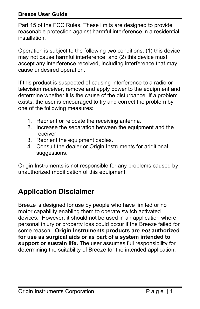#### **Breeze User Guide**

Part 15 of the FCC Rules. These limits are designed to provide reasonable protection against harmful interference in a residential installation.

Operation is subject to the following two conditions: (1) this device may not cause harmful interference, and (2) this device must accept any interference received, including interference that may cause undesired operation.

If this product is suspected of causing interference to a radio or television receiver, remove and apply power to the equipment and determine whether it is the cause of the disturbance. If a problem exists, the user is encouraged to try and correct the problem by one of the following measures:

- 1. Reorient or relocate the receiving antenna.
- 2. Increase the separation between the equipment and the receiver.
- 3. Reorient the equipment cables.
- 4. Consult the dealer or Origin Instruments for additional suggestions.

Origin Instruments is not responsible for any problems caused by unauthorized modification of this equipment.

## <span id="page-3-0"></span>**Application Disclaimer**

Breeze is designed for use by people who have limited or no motor capability enabling them to operate switch activated devices. However, it should not be used in an application where personal injury or property loss could occur if the Breeze failed for some reason. **Origin Instruments products are** *not* **authorized for use as surgical aids or as part of a system intended to support or sustain life.** The user assumes full responsibility for determining the suitability of Breeze for the intended application.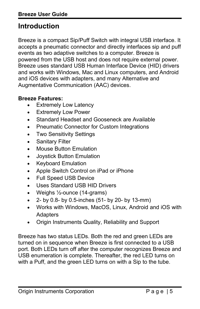## <span id="page-4-0"></span>**Introduction**

Breeze is a compact Sip/Puff Switch with integral USB interface. It accepts a pneumatic connector and directly interfaces sip and puff events as two adaptive switches to a computer. Breeze is powered from the USB host and does not require external power. Breeze uses standard USB Human Interface Device (HID) drivers and works with Windows, Mac and Linux computers, and Android and iOS devices with adapters, and many Alternative and Augmentative Communication (AAC) devices.

#### **Breeze Features:**

- Extremely Low Latency
- Extremely Low Power
- Standard Headset and Gooseneck are Available
- Pneumatic Connector for Custom Integrations
- Two Sensitivity Settings
- Sanitary Filter
- Mouse Button Emulation
- Joystick Button Emulation
- Keyboard Emulation
- Apple Switch Control on iPad or iPhone
- Full Speed USB Device
- Uses Standard USB HID Drivers
- Weighs ½-ounce (14-grams)
- $\bullet$  2- by 0.8- by 0.5-inches (51- by 20- by 13-mm)
- Works with Windows, MacOS, Linux, Android and iOS with **Adapters**
- Origin Instruments Quality, Reliability and Support

Breeze has two status LEDs. Both the red and green LEDs are turned on in sequence when Breeze is first connected to a USB port. Both LEDs turn off after the computer recognizes Breeze and USB enumeration is complete. Thereafter, the red LED turns on with a Puff, and the green LED turns on with a Sip to the tube.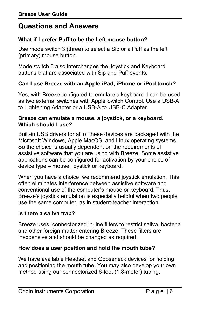## <span id="page-5-0"></span>**Questions and Answers**

#### **What if I prefer Puff to be the Left mouse button?**

Use mode switch 3 (three) to select a Sip or a Puff as the left (primary) mouse button.

Mode switch 3 also interchanges the Joystick and Keyboard buttons that are associated with Sip and Puff events.

#### **Can I use Breeze with an Apple iPad, iPhone or iPod touch?**

Yes, with Breeze configured to emulate a keyboard it can be used as two external switches with Apple Switch Control. Use a USB-A to Lightening Adapter or a USB-A to USB-C Adapter.

#### **Breeze can emulate a mouse, a joystick, or a keyboard. Which should I use?**

Built-in USB drivers for all of these devices are packaged with the Microsoft Windows, Apple MacOS, and Linux operating systems. So the choice is usually dependent on the requirements of assistive software that you are using with Breeze. Some assistive applications can be configured for activation by your choice of device type – mouse, joystick or keyboard.

When you have a choice, we recommend joystick emulation. This often eliminates interference between assistive software and conventional use of the computer's mouse or keyboard. Thus, Breeze's joystick emulation is especially helpful when two people use the same computer, as in student-teacher interaction.

#### **Is there a saliva trap?**

Breeze uses, connectorized in-line filters to restrict saliva, bacteria and other foreign matter entering Breeze. These filters are inexpensive and should be changed as required.

#### **How does a user position and hold the mouth tube?**

We have available Headset and Gooseneck devices for holding and positioning the mouth tube. You may also develop your own method using our connectorized 6-foot (1.8-meter) tubing.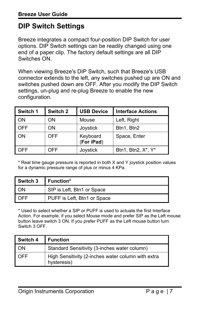## <span id="page-6-0"></span>**DIP Switch Settings**

Breeze integrates a compact four-position DIP Switch for user options. DIP Switch settings can be readily changed using one end of a paper clip. The factory default settings are all DIP Switches ON.

When viewing Breeze's DIP Switch, such that Breeze's USB connector extends to the left, any switches pushed up are ON and switches pushed down are OFF. After you modify the DIP Switch settings, un-plug and re-plug Breeze to enable the new configuration.

| Switch 1 | Switch 2   | <b>USB Device</b>      | <b>Interface Actions</b> |
|----------|------------|------------------------|--------------------------|
| ON       | ΟN         | Mouse                  | Left, Right              |
| OFF      | OΝ         | Joystick               | Btn1, Btn2               |
| ON       | <b>OFF</b> | Keyboard<br>(For iPad) | Space, Enter             |
| OFF      | OFF        | Joystick               | Btn1, Btn2, X*, Y*       |

\* Real time gauge pressure is reported in both X and Y joystick position values for a dynamic pressure range of plus or minus 4 KPa.

| Switch 3 | Function*                   |
|----------|-----------------------------|
| ON       | SIP is Left, Btn1 or Space  |
| OFF      | PUFF is Left, Btn1 or Space |

\* Used to select whether a SIP or PUFF is used to actuate the first Interface Action. For example, if you select Mouse mode and prefer SIP as the Left mouse button leave switch 3 ON. If you prefer PUFF as the Left mouse button turn Switch 3 OFF.

| Switch 4 | <b>Function</b>                                                   |
|----------|-------------------------------------------------------------------|
| ON       | Standard Sensitivity (3-inches water column)                      |
| OFF      | High Sensitivity (2-inches water column with extra<br>hysteresis) |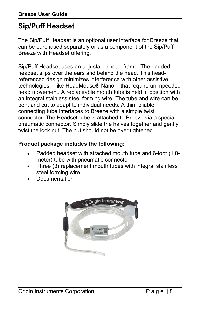## <span id="page-7-0"></span>**Sip/Puff Headset**

The Sip/Puff Headset is an optional user interface for Breeze that can be purchased separately or as a component of the Sip/Puff Breeze with Headset offering.

Sip/Puff Headset uses an adjustable head frame. The padded headset slips over the ears and behind the head. This headreferenced design minimizes interference with other assistive technologies – like HeadMouse® Nano – that require unimpeeded head movement. A replaceable mouth tube is held in position with an integral stainless steel forming wire. The tube and wire can be bent and cut to adapt to individual needs. A thin, pliable connecting tube interfaces to Breeze with a simple twist connector. The Headset tube is attached to Breeze via a special pneumatic connector. Simply slide the halves together and gently twist the lock nut. The nut should not be over tightened.

#### **Product package includes the following:**

- Padded headset with attached mouth tube and 6-foot (1.8 meter) tube with pneumatic connector
- Three (3) replacement mouth tubes with integral stainless steel forming wire
- Documentation

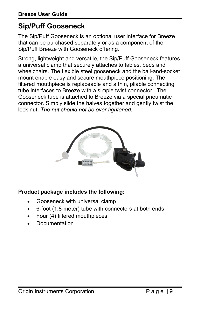## <span id="page-8-0"></span>**Sip/Puff Gooseneck**

The Sip/Puff Gooseneck is an optional user interface for Breeze that can be purchased separately or as a component of the Sip/Puff Breeze with Gooseneck offering.

Strong, lightweight and versatile, the Sip/Puff Gooseneck features a universal clamp that securely attaches to tables, beds and wheelchairs. The flexible steel gooseneck and the ball-and-socket mount enable easy and secure mouthpiece positioning. The filtered mouthpiece is replaceable and a thin, pliable connecting tube interfaces to Breeze with a simple twist connector. The Gooseneck tube is attached to Breeze via a special pneumatic connector. Simply slide the halves together and gently twist the lock nut. *The nut should not be over tightened.*



#### **Product package includes the following:**

- Gooseneck with universal clamp
- 6-foot (1.8-meter) tube with connectors at both ends
- Four (4) filtered mouthpieces
- Documentation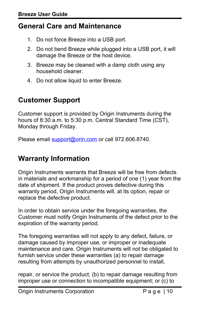## <span id="page-9-2"></span>**General Care and Maintenance**

- 1. Do not force Breeze into a USB port.
- 2. Do not bend Breeze while plugged into a USB port, it will damage the Breeze or the host device.
- 3. Breeze may be cleaned with a damp cloth using any household cleaner.
- 4. Do not allow liquid to enter Breeze.

## <span id="page-9-1"></span>**Customer Support**

Customer support is provided by Origin Instruments during the hours of 8:30 a.m. to 5:30 p.m. Central Standard Time (CST), Monday through Friday.

Please email [support@orin.com](mailto:support@orin.com) or call 972.606.8740.

## <span id="page-9-0"></span>**Warranty Information**

Origin Instruments warrants that Breeze will be free from defects in materials and workmanship for a period of one (1) year from the date of shipment. If the product proves defective during this warranty period, Origin Instruments will, at its option, repair or replace the defective product.

In order to obtain service under the foregoing warranties, the Customer must notify Origin Instruments of the defect prior to the expiration of the warranty period.

The foregoing warranties will not apply to any defect, failure, or damage caused by improper use, or improper or inadequate maintenance and care. Origin Instruments will not be obligated to furnish service under these warranties (a) to repair damage resulting from attempts by unauthorized personnel to install,

repair, or service the product; (b) to repair damage resulting from improper use or connection to incompatible equipment; or (c) to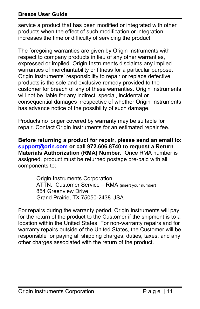#### **Breeze User Guide**

service a product that has been modified or integrated with other products when the effect of such modification or integration increases the time or difficulty of servicing the product.

The foregoing warranties are given by Origin Instruments with respect to company products in lieu of any other warranties, expressed or implied. Origin Instruments disclaims any implied warranties of merchantability or fitness for a particular purpose. Origin Instruments' responsibility to repair or replace defective products is the sole and exclusive remedy provided to the customer for breach of any of these warranties. Origin Instruments will not be liable for any indirect, special, incidental or consequential damages irrespective of whether Origin Instruments has advance notice of the possibility of such damage.

Products no longer covered by warranty may be suitable for repair. Contact Origin Instruments for an estimated repair fee.

**Before returning a product for repair, please send an email to: [support@orin.com](mailto:support@orin.com) or call 972.606.8740 to request a Return Materials Authorization (RMA) Number.** Once RMA number is assigned, product must be returned postage pre-paid with all components to:

> Origin Instruments Corporation ATTN: Customer Service – RMA (insert your number) 854 Greenview Drive Grand Prairie, TX 75050-2438 USA

For repairs during the warranty period, Origin Instruments will pay for the return of the product to the Customer if the shipment is to a location within the United States. For non-warranty repairs and for warranty repairs outside of the United States, the Customer will be responsible for paying all shipping charges, duties, taxes, and any other charges associated with the return of the product.